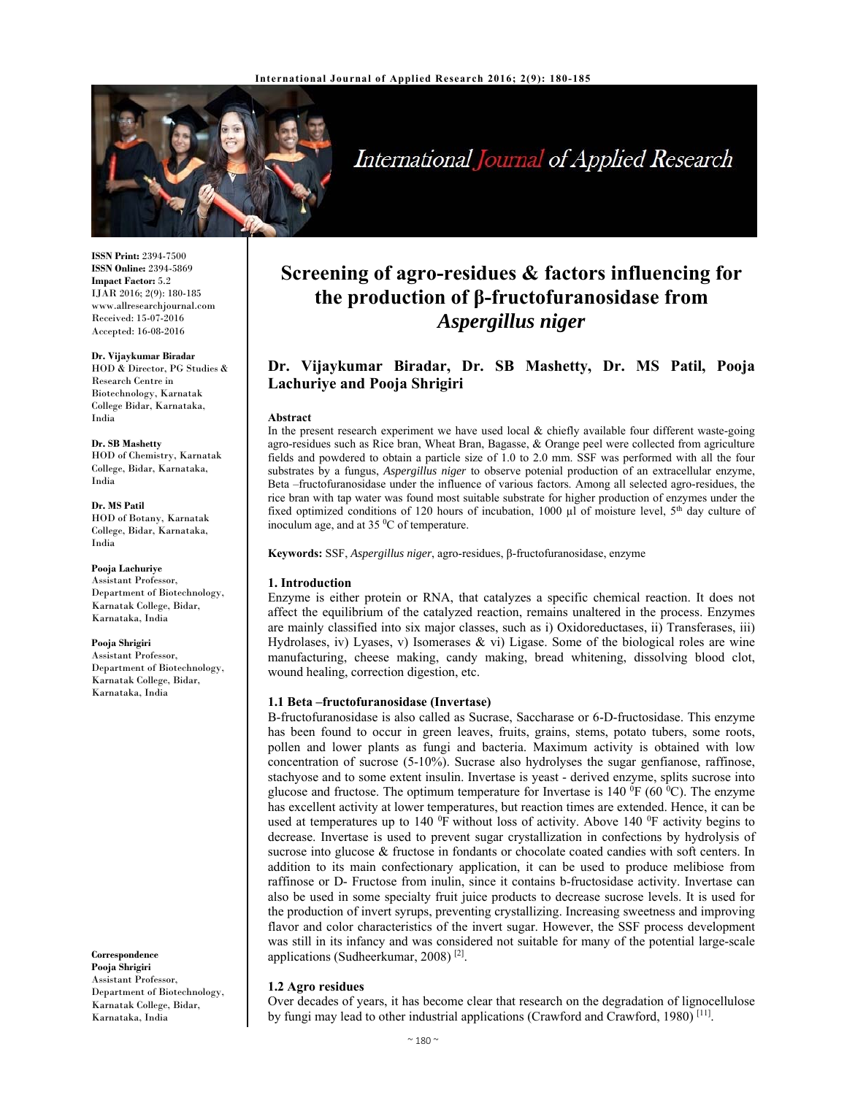

International Journal of Applied Research

**ISSN Print:** 2394-7500 **ISSN Online:** 2394-5869 **Impact Factor:** 5.2 IJAR 2016; 2(9): 180-185 www.allresearchjournal.com Received: 15-07-2016 Accepted: 16-08-2016

#### **Dr. Vijaykumar Biradar**

HOD & Director, PG Studies & Research Centre in Biotechnology, Karnatak College Bidar, Karnataka, India

#### **Dr. SB Mashetty**

HOD of Chemistry, Karnatak College, Bidar, Karnataka, India

# **Dr. MS Patil**

HOD of Botany, Karnatak College, Bidar, Karnataka, India

# **Pooja Lachuriye**

Assistant Professor, Department of Biotechnology, Karnatak College, Bidar, Karnataka, India

#### **Pooja Shrigiri**

Assistant Professor, Department of Biotechnology, Karnatak College, Bidar, Karnataka, India

**Correspondence**

**Pooja Shrigiri**  Assistant Professor, Department of Biotechnology, Karnatak College, Bidar, Karnataka, India

# **Screening of agro-residues & factors influencing for the production of β-fructofuranosidase from**  *Aspergillus niger*

# **Dr. Vijaykumar Biradar, Dr. SB Mashetty, Dr. MS Patil, Pooja Lachuriye and Pooja Shrigiri**

#### **Abstract**

In the present research experiment we have used local  $\&$  chiefly available four different waste-going agro-residues such as Rice bran, Wheat Bran, Bagasse, & Orange peel were collected from agriculture fields and powdered to obtain a particle size of 1.0 to 2.0 mm. SSF was performed with all the four substrates by a fungus, *Aspergillus niger* to observe potenial production of an extracellular enzyme, Beta –fructofuranosidase under the influence of various factors. Among all selected agro-residues, the rice bran with tap water was found most suitable substrate for higher production of enzymes under the fixed optimized conditions of 120 hours of incubation, 1000  $\mu$ l of moisture level, 5<sup>th</sup> day culture of inoculum age, and at 35  $\mathrm{^0C}$  of temperature.

**Keywords:** SSF, *Aspergillus niger*, agro-residues, β-fructofuranosidase, enzyme

#### **1. Introduction**

Enzyme is either protein or RNA, that catalyzes a specific chemical reaction. It does not affect the equilibrium of the catalyzed reaction, remains unaltered in the process. Enzymes are mainly classified into six major classes, such as i) Oxidoreductases, ii) Transferases, iii) Hydrolases, iv) Lyases, v) Isomerases & vi) Ligase. Some of the biological roles are wine manufacturing, cheese making, candy making, bread whitening, dissolving blood clot, wound healing, correction digestion, etc.

#### **1.1 Beta –fructofuranosidase (Invertase)**

Β-fructofuranosidase is also called as Sucrase, Saccharase or 6-D-fructosidase. This enzyme has been found to occur in green leaves, fruits, grains, stems, potato tubers, some roots, pollen and lower plants as fungi and bacteria. Maximum activity is obtained with low concentration of sucrose (5-10%). Sucrase also hydrolyses the sugar genfianose, raffinose, stachyose and to some extent insulin. Invertase is yeast - derived enzyme, splits sucrose into glucose and fructose. The optimum temperature for Invertase is 140  $^0$ F (60  $^0$ C). The enzyme has excellent activity at lower temperatures, but reaction times are extended. Hence, it can be used at temperatures up to 140 <sup>o</sup>F without loss of activity. Above 140 <sup>o</sup>F activity begins to decrease. Invertase is used to prevent sugar crystallization in confections by hydrolysis of sucrose into glucose & fructose in fondants or chocolate coated candies with soft centers. In addition to its main confectionary application, it can be used to produce melibiose from raffinose or D- Fructose from inulin, since it contains b-fructosidase activity. Invertase can also be used in some specialty fruit juice products to decrease sucrose levels. It is used for the production of invert syrups, preventing crystallizing. Increasing sweetness and improving flavor and color characteristics of the invert sugar. However, the SSF process development was still in its infancy and was considered not suitable for many of the potential large-scale applications (Sudheerkumar, 2008) [2].

## **1.2 Agro residues**

Over decades of years, it has become clear that research on the degradation of lignocellulose by fungi may lead to other industrial applications (Crawford and Crawford, 1980)  $[11]$ .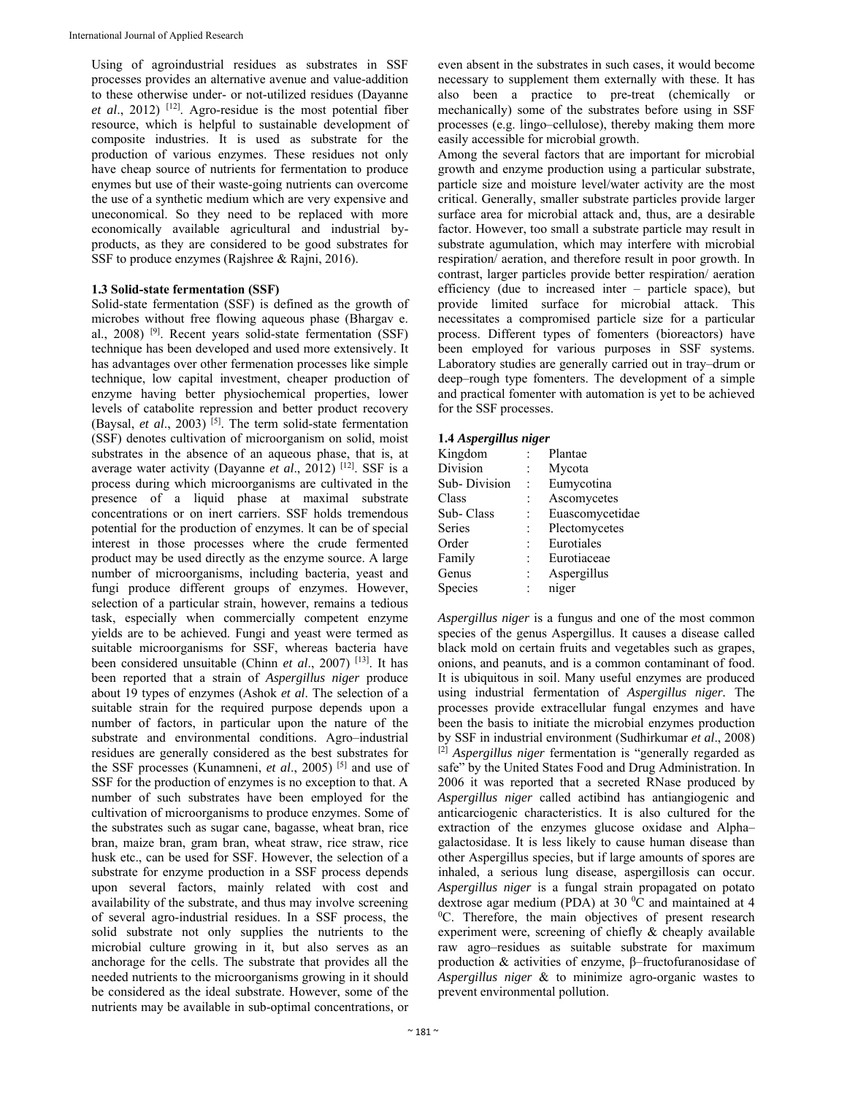Using of agroindustrial residues as substrates in SSF processes provides an alternative avenue and value-addition to these otherwise under- or not-utilized residues (Dayanne *et al*., 2012) [12]. Agro-residue is the most potential fiber resource, which is helpful to sustainable development of composite industries. It is used as substrate for the production of various enzymes. These residues not only have cheap source of nutrients for fermentation to produce enymes but use of their waste-going nutrients can overcome the use of a synthetic medium which are very expensive and uneconomical. So they need to be replaced with more economically available agricultural and industrial byproducts, as they are considered to be good substrates for SSF to produce enzymes (Rajshree & Rajni, 2016).

#### **1.3 Solid-state fermentation (SSF)**

Solid-state fermentation (SSF) is defined as the growth of microbes without free flowing aqueous phase (Bhargav e. al., 2008) [9]. Recent years solid-state fermentation (SSF) technique has been developed and used more extensively. It has advantages over other fermenation processes like simple technique, low capital investment, cheaper production of enzyme having better physiochemical properties, lower levels of catabolite repression and better product recovery (Baysal, *et al*., 2003) [5]. The term solid-state fermentation (SSF) denotes cultivation of microorganism on solid, moist substrates in the absence of an aqueous phase, that is, at average water activity (Dayanne *et al.*, 2012)<sup>[12]</sup>. SSF is a process during which microorganisms are cultivated in the presence of a liquid phase at maximal substrate concentrations or on inert carriers. SSF holds tremendous potential for the production of enzymes. lt can be of special interest in those processes where the crude fermented product may be used directly as the enzyme source. A large number of microorganisms, including bacteria, yeast and fungi produce different groups of enzymes. However, selection of a particular strain, however, remains a tedious task, especially when commercially competent enzyme yields are to be achieved. Fungi and yeast were termed as suitable microorganisms for SSF, whereas bacteria have been considered unsuitable (Chinn *et al*., 2007) [13]. It has been reported that a strain of *Aspergillus niger* produce about 19 types of enzymes (Ashok *et al*. The selection of a suitable strain for the required purpose depends upon a number of factors, in particular upon the nature of the substrate and environmental conditions. Agro–industrial residues are generally considered as the best substrates for the SSF processes (Kunamneni, et al., 2005)<sup>[5]</sup> and use of SSF for the production of enzymes is no exception to that. A number of such substrates have been employed for the cultivation of microorganisms to produce enzymes. Some of the substrates such as sugar cane, bagasse, wheat bran, rice bran, maize bran, gram bran, wheat straw, rice straw, rice husk etc., can be used for SSF. However, the selection of a substrate for enzyme production in a SSF process depends upon several factors, mainly related with cost and availability of the substrate, and thus may involve screening of several agro-industrial residues. In a SSF process, the solid substrate not only supplies the nutrients to the microbial culture growing in it, but also serves as an anchorage for the cells. The substrate that provides all the needed nutrients to the microorganisms growing in it should be considered as the ideal substrate. However, some of the nutrients may be available in sub-optimal concentrations, or

even absent in the substrates in such cases, it would become necessary to supplement them externally with these. It has also been a practice to pre-treat (chemically or mechanically) some of the substrates before using in SSF processes (e.g. lingo–cellulose), thereby making them more easily accessible for microbial growth.

Among the several factors that are important for microbial growth and enzyme production using a particular substrate, particle size and moisture level/water activity are the most critical. Generally, smaller substrate particles provide larger surface area for microbial attack and, thus, are a desirable factor. However, too small a substrate particle may result in substrate agumulation, which may interfere with microbial respiration/ aeration, and therefore result in poor growth. In contrast, larger particles provide better respiration/ aeration efficiency (due to increased inter – particle space), but provide limited surface for microbial attack. This necessitates a compromised particle size for a particular process. Different types of fomenters (bioreactors) have been employed for various purposes in SSF systems. Laboratory studies are generally carried out in tray–drum or deep–rough type fomenters. The development of a simple and practical fomenter with automation is yet to be achieved for the SSF processes.

#### **1.4** *Aspergillus niger*

| Kingdom       |                      | Plantae         |
|---------------|----------------------|-----------------|
| Division      | $\ddot{\phantom{0}}$ | Mycota          |
| Sub- Division | $\ddot{\cdot}$       | Eumycotina      |
| Class         | $\ddot{\cdot}$       | Ascomycetes     |
| Sub- Class    | $\ddot{\phantom{0}}$ | Euascomycetidae |
| Series        | $\mathcal{L}$        | Plectomycetes   |
| Order         |                      | Eurotiales      |
| Family        |                      | Eurotiaceae     |
| Genus         | $\ddot{\phantom{0}}$ | Aspergillus     |
| Species       |                      | niger           |
|               |                      |                 |

*Aspergillus niger* is a fungus and one of the most common species of the genus Aspergillus. It causes a disease called black mold on certain fruits and vegetables such as grapes, onions, and peanuts, and is a common contaminant of food. It is ubiquitous in soil. Many useful enzymes are produced using industrial fermentation of *Aspergillus niger.* The processes provide extracellular fungal enzymes and have been the basis to initiate the microbial enzymes production by SSF in industrial environment (Sudhirkumar *et al*., 2008) [2] *Aspergillus niger* fermentation is "generally regarded as safe" by the United States Food and Drug Administration. In 2006 it was reported that a secreted RNase produced by *Aspergillus niger* called actibind has antiangiogenic and anticarciogenic characteristics. It is also cultured for the extraction of the enzymes glucose oxidase and Alpha– galactosidase. It is less likely to cause human disease than other Aspergillus species, but if large amounts of spores are inhaled, a serious lung disease, aspergillosis can occur. *Aspergillus niger* is a fungal strain propagated on potato dextrose agar medium (PDA) at 30  $^{\circ}$ C and maintained at 4  $^{\circ}$ C Therefore, the main objectives of present research <sup>0</sup>C. Therefore, the main objectives of present research experiment were, screening of chiefly & cheaply available raw agro–residues as suitable substrate for maximum production & activities of enzyme, β–fructofuranosidase of *Aspergillus niger* & to minimize agro-organic wastes to prevent environmental pollution.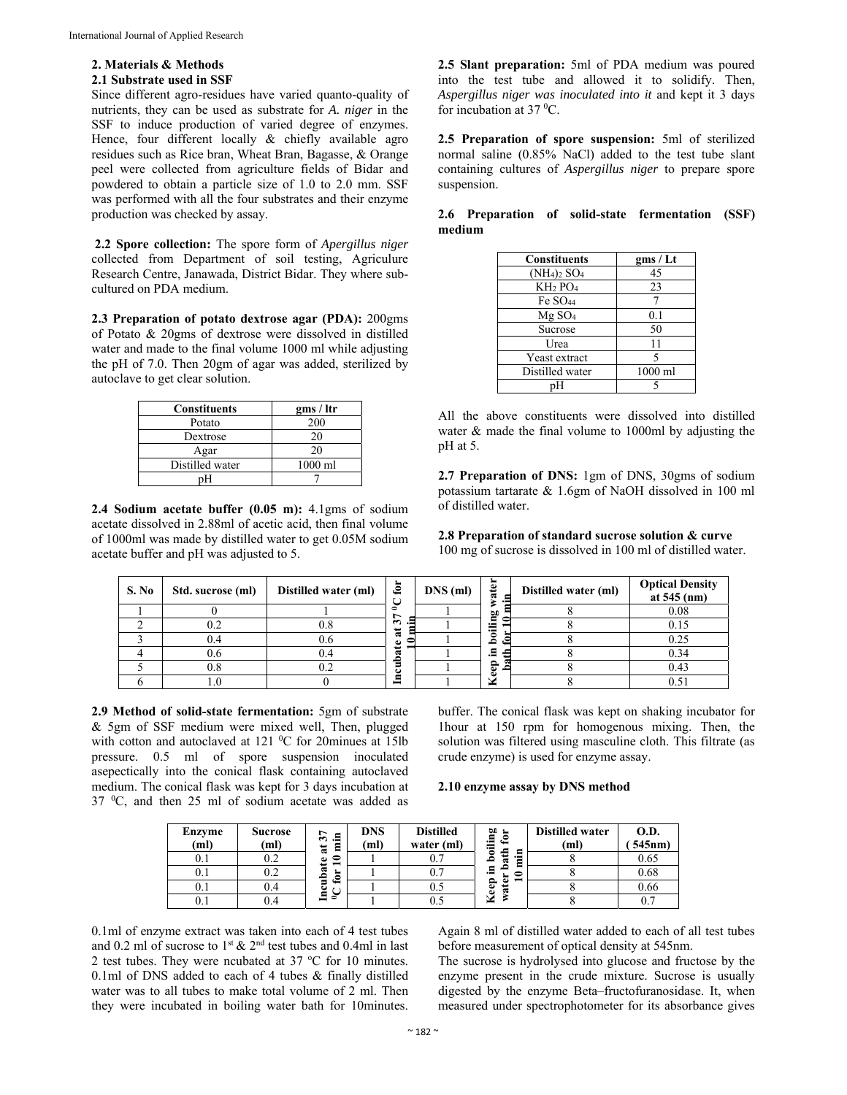#### **2. Materials & Methods**

# **2.1 Substrate used in SSF**

Since different agro-residues have varied quanto-quality of nutrients, they can be used as substrate for *A. niger* in the SSF to induce production of varied degree of enzymes. Hence, four different locally & chiefly available agro residues such as Rice bran, Wheat Bran, Bagasse, & Orange peel were collected from agriculture fields of Bidar and powdered to obtain a particle size of 1.0 to 2.0 mm. SSF was performed with all the four substrates and their enzyme production was checked by assay.

**2.2 Spore collection:** The spore form of *Apergillus niger* collected from Department of soil testing, Agriculure Research Centre, Janawada, District Bidar. They where subcultured on PDA medium.

**2.3 Preparation of potato dextrose agar (PDA):** 200gms of Potato & 20gms of dextrose were dissolved in distilled water and made to the final volume 1000 ml while adjusting the pH of 7.0. Then 20gm of agar was added, sterilized by autoclave to get clear solution.

| <b>Constituents</b> | gms / ltr |
|---------------------|-----------|
| Potato              | 200       |
| Dextrose            | 20        |
| Agar                | 20        |
| Distilled water     | $1000$ ml |
|                     |           |

**2.4 Sodium acetate buffer (0.05 m):** 4.1gms of sodium acetate dissolved in 2.88ml of acetic acid, then final volume of 1000ml was made by distilled water to get 0.05M sodium acetate buffer and pH was adjusted to 5.

**2.5 Slant preparation:** 5ml of PDA medium was poured into the test tube and allowed it to solidify. Then, *Aspergillus niger was inoculated into it* and kept it 3 days for incubation at  $37 \,^0C$ .

**2.5 Preparation of spore suspension:** 5ml of sterilized normal saline (0.85% NaCl) added to the test tube slant containing cultures of *Aspergillus niger* to prepare spore suspension.

|        |  | 2.6 Preparation of solid-state fermentation (SSF) |  |
|--------|--|---------------------------------------------------|--|
| medium |  |                                                   |  |

| <b>Constituents</b>             | gms/Lt  |
|---------------------------------|---------|
| $(NH4)2 SO4$                    | 45      |
| KH <sub>2</sub> PO <sub>4</sub> | 23      |
| Fe SO <sub>44</sub>             |         |
| $Mg$ SO <sub>4</sub>            | 0.1     |
| Sucrose                         | 50      |
| Urea                            | 11      |
| Yeast extract                   |         |
| Distilled water                 | 1000 ml |
|                                 |         |

All the above constituents were dissolved into distilled water & made the final volume to 1000ml by adjusting the pH at 5.

**2.7 Preparation of DNS:** 1gm of DNS, 30gms of sodium potassium tartarate & 1.6gm of NaOH dissolved in 100 ml of distilled water.

**2.8 Preparation of standard sucrose solution & curve**  100 mg of sucrose is dissolved in 100 ml of distilled water.

| S. No | Std. sucrose (ml) | Distilled water (ml) | <b>i</b><br>-      | DNS(ml) | ter<br>ಷ                       | Distilled water (ml) | <b>Optical Density</b><br>at $545$ (nm) |
|-------|-------------------|----------------------|--------------------|---------|--------------------------------|----------------------|-----------------------------------------|
|       |                   |                      | త<br>∼             |         | 60                             |                      | 0.08                                    |
|       | 0.2               | v.o                  | $\sim$<br>- -<br>ä |         | .⊟<br>$\overline{\phantom{0}}$ |                      | 0.15                                    |
|       | 0.4               | J.O                  | ഉ                  |         | ≏                              |                      | 0.25                                    |
|       | 0.6               | J.4                  | ದಾ                 |         | .Ξ                             |                      | 0.34                                    |
|       | $_{0.8}$          |                      | Ë<br>ت             |         | ဥ္<br>ω                        |                      | 0.43                                    |
|       | I.U               |                      | 드                  |         | ×                              |                      | 0.51                                    |

**2.9 Method of solid-state fermentation:** 5gm of substrate & 5gm of SSF medium were mixed well, Then, plugged with cotton and autoclaved at 121 <sup>0</sup>C for 20minues at 15lb pressure. 0.5 ml of spore suspension inoculated asepectically into the conical flask containing autoclaved medium. The conical flask was kept for 3 days incubation at 37 0 C, and then 25 ml of sodium acetate was added as buffer. The conical flask was kept on shaking incubator for 1hour at 150 rpm for homogenous mixing. Then, the solution was filtered using masculine cloth. This filtrate (as crude enzyme) is used for enzyme assay.

#### **2.10 enzyme assay by DNS method**

| Enzyme<br>(ml) | <b>Sucrose</b><br>(ml) | - 특<br>$\sim$<br>둅<br>₩<br>æ | DNS<br>(ml) | <b>Distilled</b><br>water (ml) | $\lim_{g}$<br>÷.<br>ē<br>'ਰ | <b>Distilled water</b><br>(ml) | <b>O.D.</b><br>545nm) |
|----------------|------------------------|------------------------------|-------------|--------------------------------|-----------------------------|--------------------------------|-----------------------|
| ∪.⊥            |                        | $\bullet$<br>ഉ<br>-          |             | υ.                             | Ξ<br>.Ξ<br>ء<br>ದ<br>8      |                                | 0.65                  |
| v. 1           | ∪.∠                    | ত<br>ä<br>≏                  |             | v.                             | ≏<br>.Ξ<br>◓<br>-           |                                | 0.68                  |
| v. 1           | 0.4                    | ⊷<br>౿<br>پ                  |             | ν.,                            | eep<br>의<br>≂               |                                | 0.66                  |
|                |                        | Ξ<br>6                       |             | ∪.∪                            | ⊻                           |                                |                       |

0.1ml of enzyme extract was taken into each of 4 test tubes and 0.2 ml of sucrose to  $1^{st}$  &  $2^{nd}$  test tubes and 0.4ml in last 2 test tubes. They were ncubated at  $37 \text{ °C}$  for 10 minutes. 0.1ml of DNS added to each of 4 tubes & finally distilled water was to all tubes to make total volume of 2 ml. Then they were incubated in boiling water bath for 10minutes.

Again 8 ml of distilled water added to each of all test tubes before measurement of optical density at 545nm.

The sucrose is hydrolysed into glucose and fructose by the enzyme present in the crude mixture. Sucrose is usually digested by the enzyme Beta–fructofuranosidase. It, when measured under spectrophotometer for its absorbance gives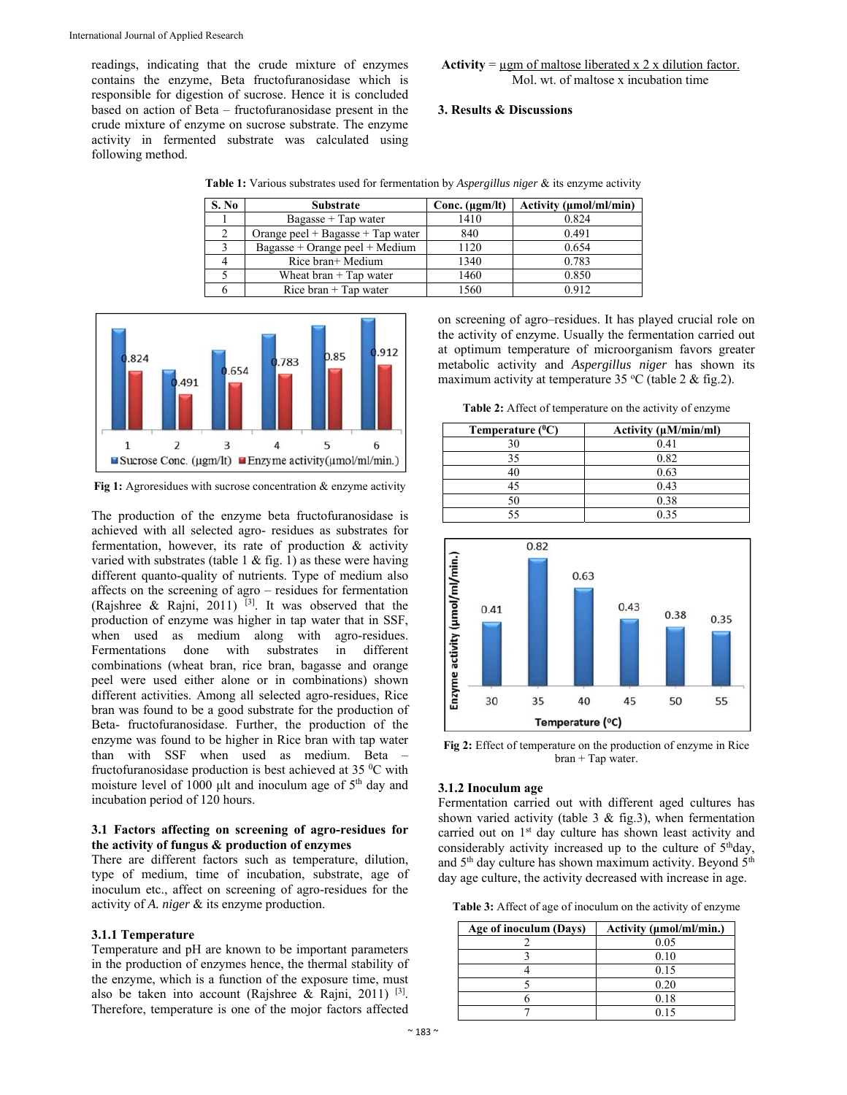readings, indicating that the crude mixture of enzymes contains the enzyme, Beta fructofuranosidase which is responsible for digestion of sucrose. Hence it is concluded based on action of Beta – fructofuranosidase present in the crude mixture of enzyme on sucrose substrate. The enzyme activity in fermented substrate was calculated using following method.

**Activity** =  $\mu$ gm of maltose liberated x 2 x dilution factor. Mol. wt. of maltose x incubation time

## **3. Results & Discussions**

| <b>Table 1:</b> Various substrates used for fermentation by <i>Aspergillus niger &amp;</i> its enzyme activity |  |  |
|----------------------------------------------------------------------------------------------------------------|--|--|
|                                                                                                                |  |  |

| S. No | <b>Substrate</b>                      | Conc. $(\mu \text{g}m/lt)$ | Activity (µmol/ml/min) |
|-------|---------------------------------------|----------------------------|------------------------|
|       | $Bagasse + Tap water$                 | 1410                       | 0.824                  |
| 2     | Orange peel $+$ Bagasse $+$ Tap water | 840                        | 0.491                  |
|       | Bagasse + Orange peel + Medium        | 1120                       | 0.654                  |
|       | Rice bran+ Medium                     | 1340                       | 0.783                  |
|       | Wheat $bran + Tap$ water              | 1460                       | 0.850                  |
|       | Rice bran $+$ Tap water               | 1560                       | 0.912                  |



**Fig 1:** Agroresidues with sucrose concentration & enzyme activity

The production of the enzyme beta fructofuranosidase is achieved with all selected agro- residues as substrates for fermentation, however, its rate of production & activity varied with substrates (table 1 & fig. 1) as these were having different quanto-quality of nutrients. Type of medium also affects on the screening of agro – residues for fermentation (Rajshree & Rajni, 2011)  $^{[3]}$ . It was observed that the production of enzyme was higher in tap water that in SSF, when used as medium along with agro-residues. Fermentations done with substrates in different combinations (wheat bran, rice bran, bagasse and orange peel were used either alone or in combinations) shown different activities. Among all selected agro-residues, Rice bran was found to be a good substrate for the production of Beta- fructofuranosidase. Further, the production of the enzyme was found to be higher in Rice bran with tap water than with SSF when used as medium. Beta – fructofuranosidase production is best achieved at 35  $\mathrm{^0C}$  with moisture level of 1000 μlt and inoculum age of  $5<sup>th</sup>$  day and incubation period of 120 hours.

# **3.1 Factors affecting on screening of agro-residues for the activity of fungus & production of enzymes**

There are different factors such as temperature, dilution, type of medium, time of incubation, substrate, age of inoculum etc., affect on screening of agro-residues for the activity of *A. niger* & its enzyme production.

# **3.1.1 Temperature**

Temperature and pH are known to be important parameters in the production of enzymes hence, the thermal stability of the enzyme, which is a function of the exposure time, must also be taken into account (Rajshree & Rajni, 2011) [3]. Therefore, temperature is one of the mojor factors affected

on screening of agro–residues. It has played crucial role on the activity of enzyme. Usually the fermentation carried out at optimum temperature of microorganism favors greater metabolic activity and *Aspergillus niger* has shown its maximum activity at temperature 35 °C (table 2 & fig.2).

**Table 2:** Affect of temperature on the activity of enzyme

| Temperature $(^0C)$ | Activity $(\mu M/min/ml)$ |
|---------------------|---------------------------|
|                     | 0.41                      |
| 35                  | 0.82                      |
|                     | 0.63                      |
|                     | 0.43                      |
|                     | 0.38                      |
|                     | በ 35                      |



**Fig 2:** Effect of temperature on the production of enzyme in Rice bran + Tap water.

#### **3.1.2 Inoculum age**

Fermentation carried out with different aged cultures has shown varied activity (table  $3 \&$  fig. 3), when fermentation carried out on 1<sup>st</sup> day culture has shown least activity and considerably activity increased up to the culture of  $5<sup>th</sup>$ day, and 5<sup>th</sup> day culture has shown maximum activity. Beyond 5<sup>th</sup> day age culture, the activity decreased with increase in age.

**Table 3:** Affect of age of inoculum on the activity of enzyme

| Age of inoculum (Days) | Activity (μmol/ml/min.) |
|------------------------|-------------------------|
|                        | 0.05                    |
|                        | 0.10                    |
|                        | 0.15                    |
|                        | 0.20                    |
|                        | 0.18                    |
|                        | በ 15                    |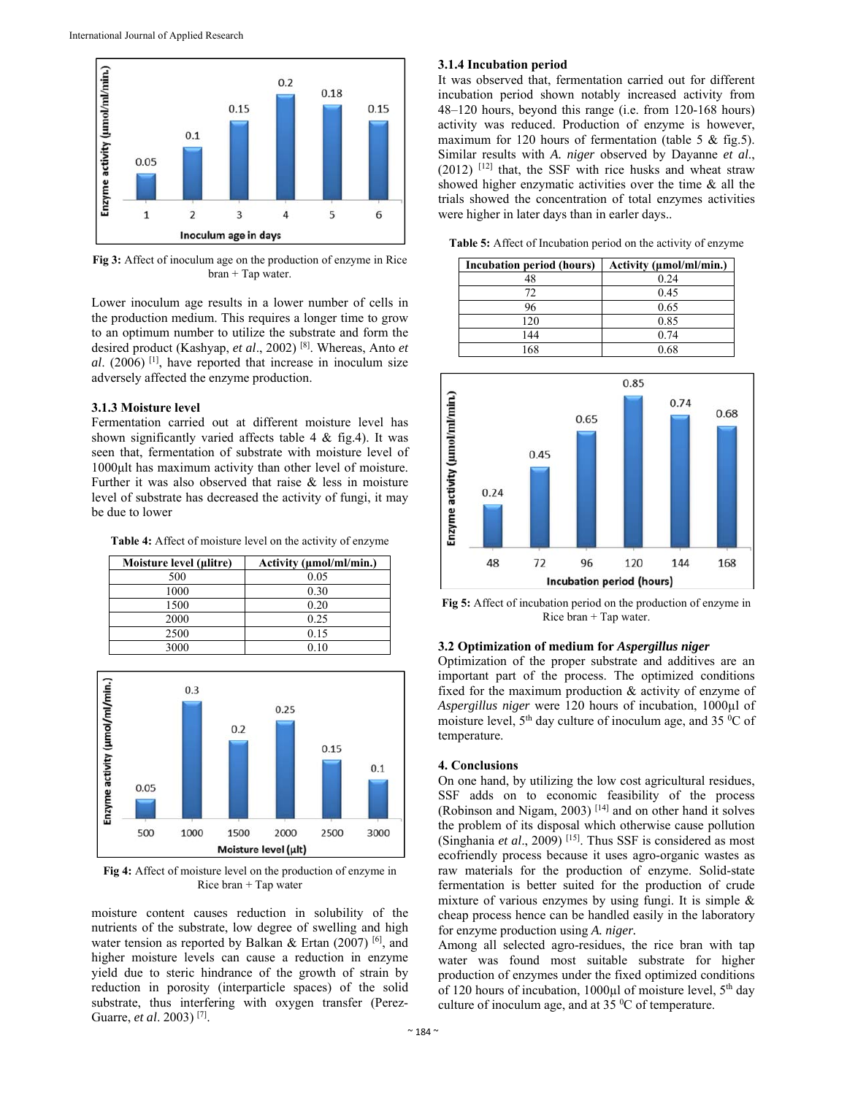

**Fig 3:** Affect of inoculum age on the production of enzyme in Rice bran + Tap water.

Lower inoculum age results in a lower number of cells in the production medium. This requires a longer time to grow to an optimum number to utilize the substrate and form the desired product (Kashyap, *et al*., 2002) [8]. Whereas, Anto *et al.* (2006)<sup>[1]</sup>, have reported that increase in inoculum size adversely affected the enzyme production.

#### **3.1.3 Moisture level**

Fermentation carried out at different moisture level has shown significantly varied affects table  $4 \&$  fig.4). It was seen that, fermentation of substrate with moisture level of 1000μlt has maximum activity than other level of moisture. Further it was also observed that raise & less in moisture level of substrate has decreased the activity of fungi, it may be due to lower

**Table 4:** Affect of moisture level on the activity of enzyme

| Moisture level (µlitre) | Activity (µmol/ml/min.) |
|-------------------------|-------------------------|
| 500                     | 0.05                    |
| 1000                    | 0.30                    |
| 1500                    | 0.20                    |
| 2000                    | 0.25                    |
| 2500                    | 0.15                    |
| 3000                    | 0.10                    |



**Fig 4:** Affect of moisture level on the production of enzyme in Rice bran + Tap water

moisture content causes reduction in solubility of the nutrients of the substrate, low degree of swelling and high water tension as reported by Balkan & Ertan (2007) [6], and higher moisture levels can cause a reduction in enzyme yield due to steric hindrance of the growth of strain by reduction in porosity (interparticle spaces) of the solid substrate, thus interfering with oxygen transfer (Perez-Guarre, *et al*. 2003) [7].

#### **3.1.4 Incubation period**

It was observed that, fermentation carried out for different incubation period shown notably increased activity from 48–120 hours, beyond this range (i.e. from 120-168 hours) activity was reduced. Production of enzyme is however, maximum for 120 hours of fermentation (table 5 & fig.5). Similar results with *A. niger* observed by Dayanne *et al*.,  $(2012)$ <sup>[12]</sup> that, the SSF with rice husks and wheat straw showed higher enzymatic activities over the time & all the trials showed the concentration of total enzymes activities were higher in later days than in earler days..

**Table 5:** Affect of Incubation period on the activity of enzyme

| <b>Incubation period (hours)</b> | Activity ( $\mu$ mol/ml/min.) |
|----------------------------------|-------------------------------|
|                                  | 0.24                          |
| 72                               | 0.45                          |
| 96                               | 0.65                          |
| 120                              | 0.85                          |
| 144                              | 0.74                          |
| 168                              | 0.68                          |



**Fig 5:** Affect of incubation period on the production of enzyme in Rice bran + Tap water.

# **3.2 Optimization of medium for** *Aspergillus niger*

Optimization of the proper substrate and additives are an important part of the process. The optimized conditions fixed for the maximum production & activity of enzyme of *Aspergillus niger* were 120 hours of incubation, 1000µl of moisture level,  $5<sup>th</sup>$  day culture of inoculum age, and 35  $<sup>0</sup>C$  of</sup> temperature.

## **4. Conclusions**

On one hand, by utilizing the low cost agricultural residues, SSF adds on to economic feasibility of the process (Robinson and Nigam, 2003)<sup>[14]</sup> and on other hand it solves the problem of its disposal which otherwise cause pollution (Singhania *et al*., 2009) [15]. Thus SSF is considered as most ecofriendly process because it uses agro-organic wastes as raw materials for the production of enzyme. Solid-state fermentation is better suited for the production of crude mixture of various enzymes by using fungi. It is simple & cheap process hence can be handled easily in the laboratory for enzyme production using *A. niger.* 

Among all selected agro-residues, the rice bran with tap water was found most suitable substrate for higher production of enzymes under the fixed optimized conditions of 120 hours of incubation, 1000 $\mu$ l of moisture level, 5<sup>th</sup> day culture of inoculum age, and at 35  $\mathrm{^0C}$  of temperature.